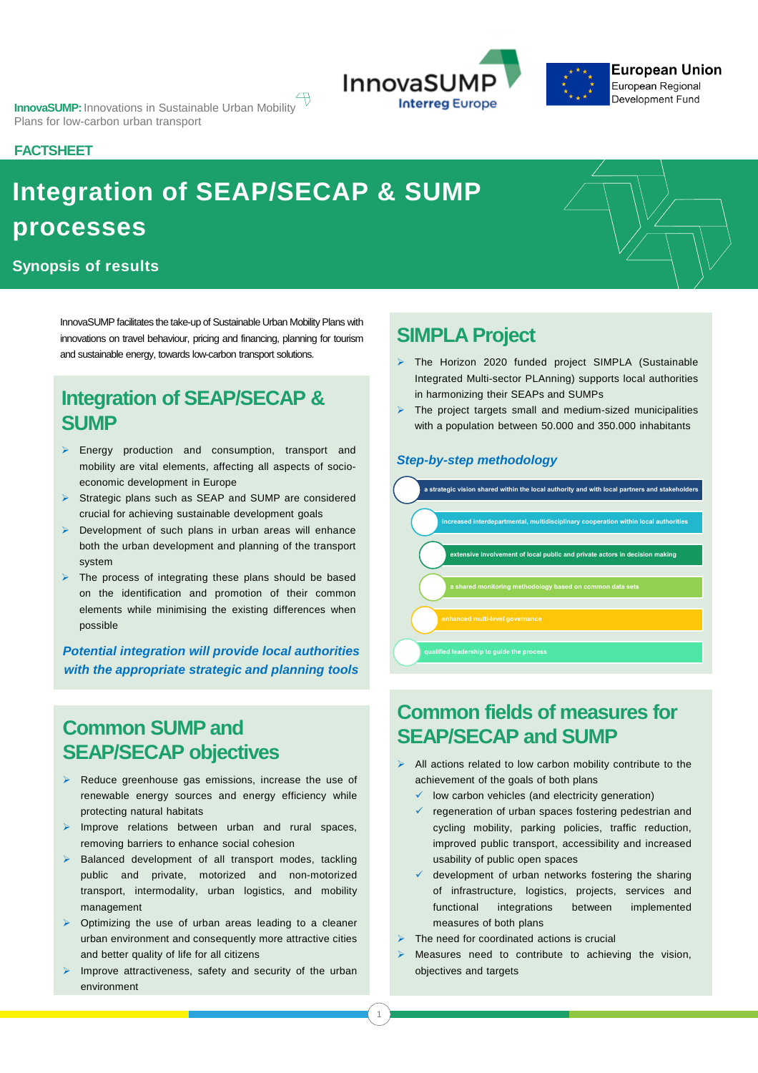



#### **FACTSHEET**

## **Integration of SEAP/SECAP & SUMP processes**

#### **Synopsis of results**

InnovaSUMP facilitates the take-up of Sustainable Urban MobilityPlans with innovations on travel behaviour, pricing and financing, planning for tourism and sustainable energy, towards low-carbon transport solutions.

## **Integration of SEAP/SECAP & SUMP**

- ➢ Energy production and consumption, transport and mobility are vital elements, affecting all aspects of socioeconomic development in Europe
- ➢ Strategic plans such as SEAP and SUMP are considered crucial for achieving sustainable development goals
- ➢ Development of such plans in urban areas will enhance both the urban development and planning of the transport system
- ➢ The process of integrating these plans should be based on the identification and promotion of their common elements while minimising the existing differences when possible

*Potential integration will provide local authorities with the appropriate strategic and planning tools*

## **Common SUMP and SEAP/SECAP objectives**

- ➢ Reduce greenhouse gas emissions, increase the use of renewable energy sources and energy efficiency while protecting natural habitats
- $\overline{\mathcal{C}}$ ➢ Improve relations between urban and rural spaces, removing barriers to enhance social cohesion
- ➢ Balanced development of all transport modes, tackling public and private, motorized and non-motorized transport, intermodality, urban logistics, and mobility management
- ➢ Optimizing the use of urban areas leading to a cleaner urban environment and consequently more attractive cities and better quality of life for all citizens
- ➢ Improve attractiveness, safety and security of the urban

# **SIMPLA Project**<br> **Ex.** The Horizon 2020 fund

- ➢ The Horizon 2020 funded project SIMPLA (Sustainable Integrated Multi-sector PLAnning) supports local authorities in harmonizing their SEAPs and SUMPs
- ➢ The project targets small and medium-sized municipalities with a population between 50.000 and 350.000 inhabitants

#### *Step-by-step methodology*



## **Common fields of measures for SEAP/SECAP and SUMP**

- $\triangleright$  All actions related to low carbon mobility contribute to the achievement of the goals of both plans
	- $\checkmark$  low carbon vehicles (and electricity generation)
	- regeneration of urban spaces fostering pedestrian and cycling mobility, parking policies, traffic reduction, improved public transport, accessibility and increased usability of public open spaces
	- $\checkmark$  development of urban networks fostering the sharing of infrastructure, logistics, projects, services and functional integrations between implemented measures of both plans
- $\triangleright$  The need for coordinated actions is crucial
- Measures need to contribute to achieving the vision, objectives and targets